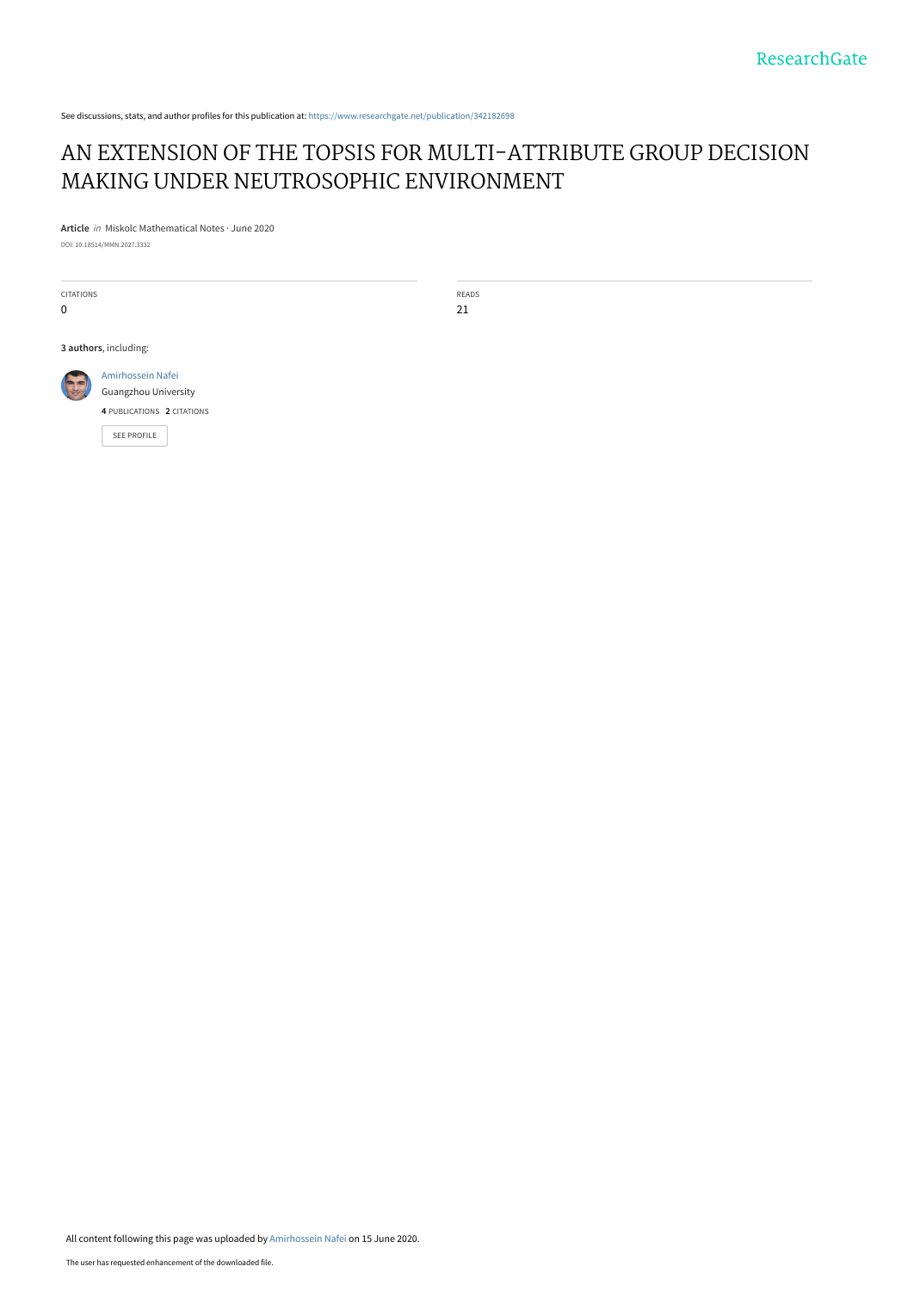See discussions, stats, and author profiles for this publication at: [https://www.researchgate.net/publication/342182698](https://www.researchgate.net/publication/342182698_AN_EXTENSION_OF_THE_TOPSIS_FOR_MULTI-ATTRIBUTE_GROUP_DECISION_MAKING_UNDER_NEUTROSOPHIC_ENVIRONMENT?enrichId=rgreq-1b5f1bf4f634db8d4e4d3360c7d9b748-XXX&enrichSource=Y292ZXJQYWdlOzM0MjE4MjY5ODtBUzo5MDI3Mzk3ODE1MDkxMjBAMTU5MjI0MTM0NDU1MA%3D%3D&el=1_x_2&_esc=publicationCoverPdf)

# [AN EXTENSION OF THE TOPSIS FOR MULTI-ATTRIBUTE GROUP DECISION](https://www.researchgate.net/publication/342182698_AN_EXTENSION_OF_THE_TOPSIS_FOR_MULTI-ATTRIBUTE_GROUP_DECISION_MAKING_UNDER_NEUTROSOPHIC_ENVIRONMENT?enrichId=rgreq-1b5f1bf4f634db8d4e4d3360c7d9b748-XXX&enrichSource=Y292ZXJQYWdlOzM0MjE4MjY5ODtBUzo5MDI3Mzk3ODE1MDkxMjBAMTU5MjI0MTM0NDU1MA%3D%3D&el=1_x_3&_esc=publicationCoverPdf) MAKING UNDER NEUTROSOPHIC ENVIRONMENT

**Article** in Miskolc Mathematical Notes · June 2020

DOI: 10.18514/MMN.202?.3332

CITATIONS 0

READS 21

**3 authors**, including:



[SEE PROFILE](https://www.researchgate.net/profile/Amirhossein_Nafei?enrichId=rgreq-1b5f1bf4f634db8d4e4d3360c7d9b748-XXX&enrichSource=Y292ZXJQYWdlOzM0MjE4MjY5ODtBUzo5MDI3Mzk3ODE1MDkxMjBAMTU5MjI0MTM0NDU1MA%3D%3D&el=1_x_7&_esc=publicationCoverPdf)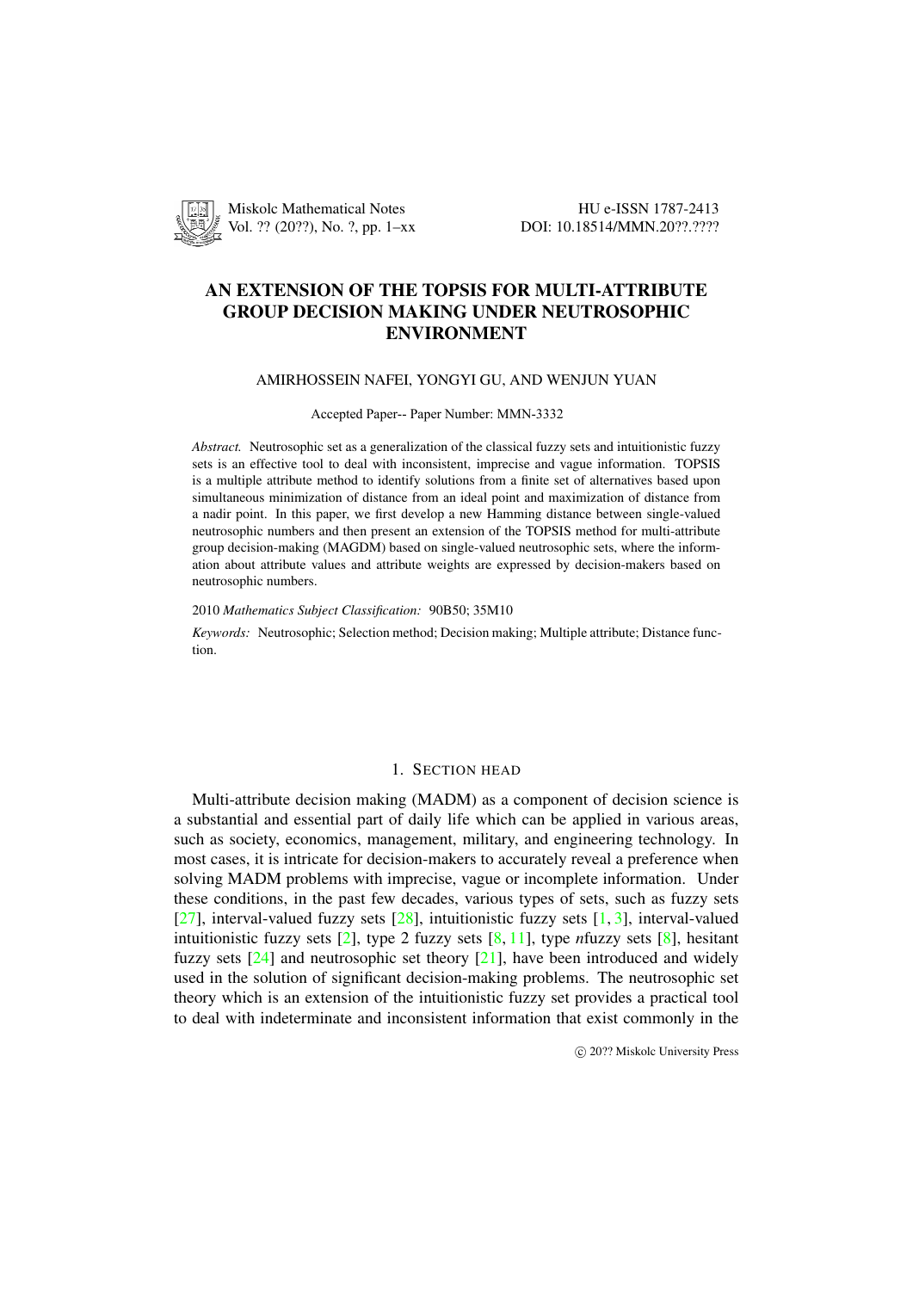

## AN EXTENSION OF THE TOPSIS FOR MULTI-ATTRIBUTE GROUP DECISION MAKING UNDER NEUTROSOPHIC ENVIRONMENT

#### AMIRHOSSEIN NAFEI, YONGYI GU, AND WENJUN YUAN

#### Accepted Paper-- Paper Number: MMN-3332

*Abstract.* Neutrosophic set as a generalization of the classical fuzzy sets and intuitionistic fuzzy sets is an effective tool to deal with inconsistent, imprecise and vague information. TOPSIS is a multiple attribute method to identify solutions from a finite set of alternatives based upon simultaneous minimization of distance from an ideal point and maximization of distance from a nadir point. In this paper, we first develop a new Hamming distance between single-valued neutrosophic numbers and then present an extension of the TOPSIS method for multi-attribute group decision-making (MAGDM) based on single-valued neutrosophic sets, where the information about attribute values and attribute weights are expressed by decision-makers based on neutrosophic numbers.

2010 *Mathematics Subject Classification:* 90B50; 35M10

*Keywords:* Neutrosophic; Selection method; Decision making; Multiple attribute; Distance function.

## 1. SECTION HEAD

Multi-attribute decision making (MADM) as a component of decision science is a substantial and essential part of daily life which can be applied in various areas, such as society, economics, management, military, and engineering technology. In most cases, it is intricate for decision-makers to accurately reveal a preference when solving MADM problems with imprecise, vague or incomplete information. Under these conditions, in the past few decades, various types of sets, such as fuzzy sets [27], interval-valued fuzzy sets  $[28]$ , intuitionistic fuzzy sets  $[1, 3]$ , interval-valued intuitionistic fuzzy sets [2], type 2 fuzzy sets [8, 11], type *n*fuzzy sets [8], hesitant fuzzy sets [24] and neutrosophic set theory [21], have been introduced and widely used in the solution of significant decision-making problems. The neutrosophic set t[heo](#page-13-0)ry which is an extension of [the](#page-13-1) intuitionistic fuzzy set pro[vi](#page-11-0)[de](#page-12-0)s a practical tool to deal with indetermina[te](#page-11-1) and inconsistent inf[or](#page-12-1)[mat](#page-12-2)ion that exist com[mo](#page-12-1)nly in the

*⃝*c 20?? Miskolc University Press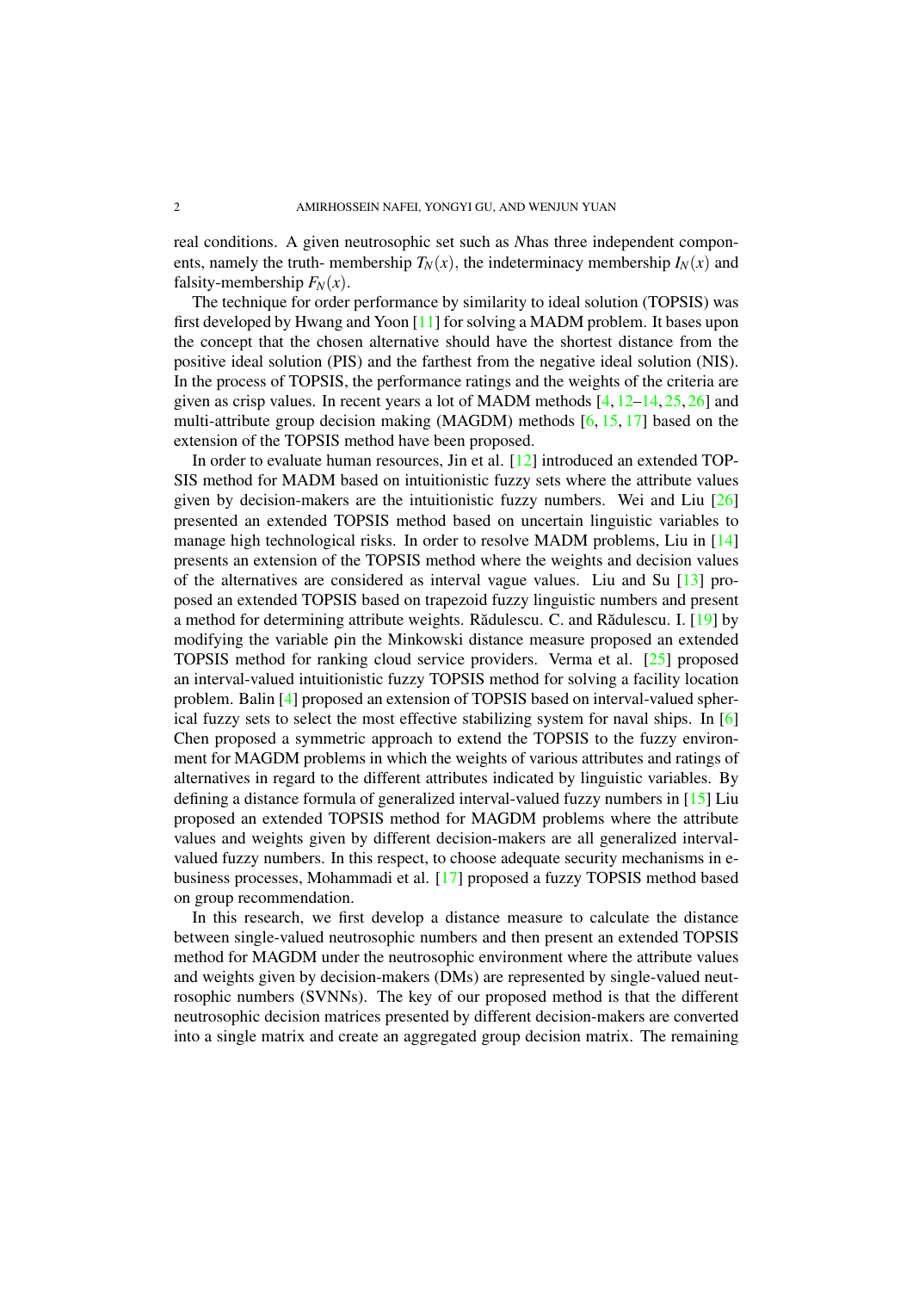real conditions. A given neutrosophic set such as *N*has three independent components, namely the truth- membership  $T_N(x)$ , the indeterminacy membership  $I_N(x)$  and falsity-membership  $F_N(x)$ .

The technique for order performance by similarity to ideal solution (TOPSIS) was first developed by Hwang and Yoon [11] for solving a MADM problem. It bases upon the concept that the chosen alternative should have the shortest distance from the positive ideal solution (PIS) and the farthest from the negative ideal solution (NIS). In the process of TOPSIS, the performance ratings and the weights of the criteria are given as crisp values. In recent year[s a](#page-12-2) lot of MADM methods [4, 12–14, 25, 26] and multi-attribute group decision making (MAGDM) methods [6, 15, 17] based on the extension of the TOPSIS method have been proposed.

In order to evaluate human resources, Jin et al. [12] introduced an extended TOP-SIS method for MADM based on intuitionistic fuzzy sets wher[e](#page-12-3) t[he](#page-12-4) [attr](#page-12-5)i[but](#page-13-2)[e va](#page-13-3)lues given by decision-makers are the intuitionistic fuzzy numb[er](#page-12-6)[s.](#page-12-7) [Wei](#page-12-8) and Liu [26] presented an extended TOPSIS method based on uncertain linguistic variables to manage high technological risks. In order to resol[ve](#page-12-4) MADM problems, Liu in [14] presents an extension of the TOPSIS method where the weights and decision values of the alternatives are considered as interval vague values. Liu and Su [13] [pro](#page-13-3)posed an extended TOPSIS based on trapezoid fuzzy linguistic numbers and present a method for determining attribute weights. Rădulescu. C. and Rădulescu. I.  $[19]$  by modifying the variable ρin the Minkowski distance measure proposed an extended TOPSIS method for ranking cloud service providers. Verma et al. [25] [pro](#page-12-9)posed an interval-valued intuitionistic fuzzy TOPSIS method for solving a facility location problem. Balin [4] proposed an extension of TOPSIS based on interval-valued [sph](#page-12-10)erical fuzzy sets to select the most effective stabilizing system for naval ships. In [6] Chen proposed a symmetric approach to extend the TOPSIS to the f[uzz](#page-13-2)y environment for MAGDM problems in which the weights of various attributes and ratings of alternatives in r[eg](#page-12-3)ard to the different attributes indicated by linguistic variables. By defining a distance formula of generalized interval-valued fuzzy numbers in [15] [Liu](#page-12-6) proposed an extended TOPSIS method for MAGDM problems where the attribute values and weights given by different decision-makers are all generalized intervalvalued fuzzy numbers. In this respect, to choose adequate security mechanisms in ebusiness processes, Mohammadi et al. [17] proposed a fuzzy TOPSIS metho[d b](#page-12-7)ased on group recommendation.

In this research, we first develop a distance measure to calculate the distance between single-valued neutrosophic numbers and then present an extended TOPSIS method for MAGDM under the neutros[oph](#page-12-8)ic environment where the attribute values and weights given by decision-makers (DMs) are represented by single-valued neutrosophic numbers (SVNNs). The key of our proposed method is that the different neutrosophic decision matrices presented by different decision-makers are converted into a single matrix and create an aggregated group decision matrix. The remaining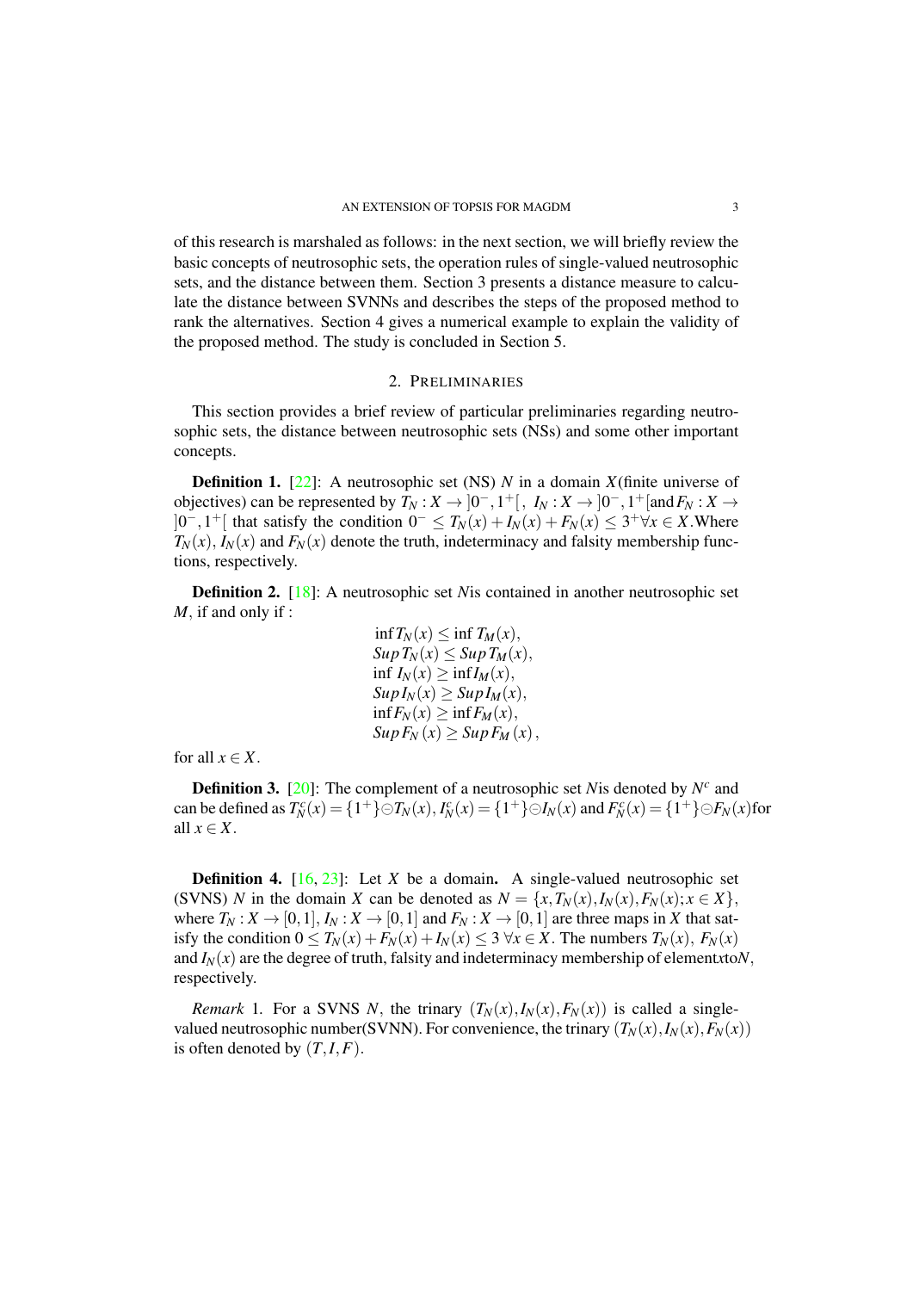of this research is marshaled as follows: in the next section, we will briefly review the basic concepts of neutrosophic sets, the operation rules of single-valued neutrosophic sets, and the distance between them. Section 3 presents a distance measure to calculate the distance between SVNNs and describes the steps of the proposed method to rank the alternatives. Section 4 gives a numerical example to explain the validity of the proposed method. The study is concluded in Section 5.

#### 2. PRELIMINARIES

This section provides a brief review of particular preliminaries regarding neutrosophic sets, the distance between neutrosophic sets (NSs) and some other important concepts.

**Definition 1.** [22]: A neutrosophic set (NS) *N* in a domain *X*(finite universe of objectives) can be represented by  $T_N: X \to ]0^-, 1^+[, I_N: X \to ]0^-, 1^+[\text{and } F_N: X \to ]0^-,$  $]0^-, 1^+[$  that satisfy the condition  $0^- \leq T_N(x) + I_N(x) + F_N(x) \leq 3^+ \forall x \in X$ . Where  $T_N(x)$ ,  $I_N(x)$  and  $F_N(x)$  denote the truth, indeterminacy and falsity membership functions, respectivel[y.](#page-13-4)

Definition 2. [18]: A neutrosophic set *N*is contained in another neutrosophic set *M,* if and only if :

$$
\begin{aligned}\n\inf T_N(x) &\leq \inf T_M(x), \\
\sup T_N(x) &\leq \sup T_M(x), \\
\inf I_N(x) &\geq \inf I_M(x), \\
\sup I_N(x) &\geq \sup I_M(x), \\
\inf F_N(x) &\geq \inf F_M(x), \\
\sup F_N(x) &\geq \sup F_M(x),\n\end{aligned}
$$

for all  $x \in X$ .

**Definition 3.** [20]: The complement of a neutrosophic set *N* is denoted by  $N^c$  and can be defined as  $T_N^c(x) = \{1^+\}\odot T_N(x)$ ,  $I_N^c(x) = \{1^+\}\odot I_N(x)$  and  $F_N^c(x) = \{1^+\}\odot F_N(x)$  for all  $x \in X$ *.* 

**Definition 4.** [16, 23]: Let *X* be a domain. A single-valued neutrosophic set (SVNS) N in the domain X can be denoted as  $N = \{x, T_N(x), I_N(x), F_N(x); x \in X\},\$ where  $T_N: X \to [0,1], I_N: X \to [0,1]$  and  $F_N: X \to [0,1]$  are three maps in *X* that satisfy the condition  $0 \leq T_N(x) + F_N(x) + I_N(x) \leq 3 \forall x \in X$ . The numbers  $T_N(x)$ ,  $F_N(x)$ and  $I_N(x)$  are the d[egr](#page-12-11)[ee o](#page-13-5)f truth, falsity and indeterminacy membership of elementxto $N$ , respectively.

*Remark* 1. For a SVNS *N,* the trinary  $(T_N(x), I_N(x), F_N(x))$  is called a singlevalued neutrosophic number(SVNN). For convenience, the trinary  $(T_N(x), I_N(x), F_N(x))$ is often denoted by  $(T, I, F)$ .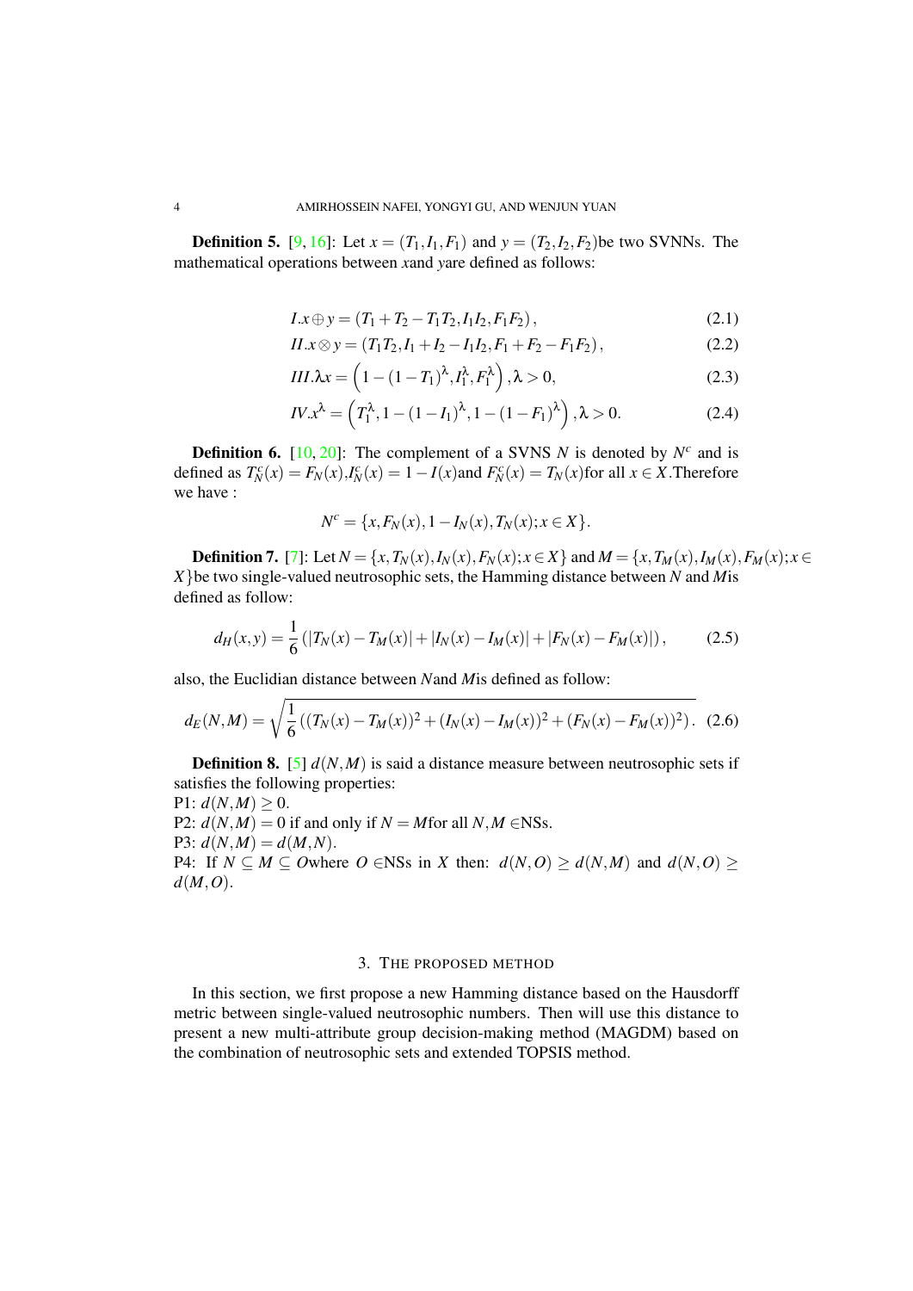**Definition 5.** [9, 16]: Let  $x = (T_1, I_1, F_1)$  and  $y = (T_2, I_2, F_2)$ be two SVNNs. The mathematical operations between *x*and *y*are defined as follows:

$$
I \mathbf{x} \oplus \mathbf{y} = (T_1 + T_2 - T_1 T_2, I_1 I_2, F_1 F_2), \tag{2.1}
$$

$$
II.x \otimes y = (T_1T_2, I_1 + I_2 - I_1I_2, F_1 + F_2 - F_1F_2), \tag{2.2}
$$

$$
III.\lambda x = \left(1 - (1 - T_1)^{\lambda}, I_1^{\lambda}, F_1^{\lambda}\right), \lambda > 0,
$$
\n(2.3)

$$
IV.x^{\lambda} = \left(T_1^{\lambda}, 1 - (1 - I_1)^{\lambda}, 1 - (1 - F_1)^{\lambda}\right), \lambda > 0.
$$
 (2.4)

**Definition 6.** [10, 20]: The complement of a SVNS *N* is denoted by  $N^c$  and is defined as  $T_N^c(x) = F_N(x)$ ,  $I_N^c(x) = 1 - I(x)$  and  $F_N^c(x) = T_N(x)$  for all  $x \in X$ . Therefore we have :

<span id="page-4-2"></span><span id="page-4-1"></span>
$$
N^{c} = \{x, F_{N}(x), 1 - I_{N}(x), T_{N}(x); x \in X\}.
$$

**Definition 7.** [7]: Let  $N = \{x, T_N(x), I_N(x), F_N(x); x \in X\}$  and  $M = \{x, T_M(x), I_M(x), F_M(x); x \in X\}$ *X}*be two single-valued neutrosophic sets, the Hamming distance between *N* and *M*is defined as follow:

$$
d_H(x,y) = \frac{1}{6} (|T_N(x) - T_M(x)| + |I_N(x) - I_M(x)| + |F_N(x) - F_M(x)|), \tag{2.5}
$$

also, the Euclidian distance between *N*and *M*is defined as follow:

$$
d_E(N,M) = \sqrt{\frac{1}{6} \left( (T_N(x) - T_M(x))^2 + (I_N(x) - I_M(x))^2 + (F_N(x) - F_M(x))^2 \right)}.
$$
 (2.6)

**Definition 8.** [5]  $d(N,M)$  is said a distance measure between neutrosophic sets if satisfies the following properties:

<span id="page-4-0"></span> $P1: d(N,M) \geq 0.$ P2:  $d(N, M) = 0$  if and only if  $N = M$  for all  $N, M \in$ NSs.  $P3: d(N,M) = d(M,N).$  $P3: d(N,M) = d(M,N).$  $P3: d(N,M) = d(M,N).$ P4: If  $N \subseteq M \subseteq O$ where  $O \in NSs$  in *X* then:  $d(N, O) \ge d(N, M)$  and  $d(N, O) \ge$ *d*(*M,O*)*.*

### 3. THE PROPOSED METHOD

In this section, we first propose a new Hamming distance based on the Hausdorff metric between single-valued neutrosophic numbers. Then will use this distance to present a new multi-attribute group decision-making method (MAGDM) based on the combination of neutrosophic sets and extended TOPSIS method.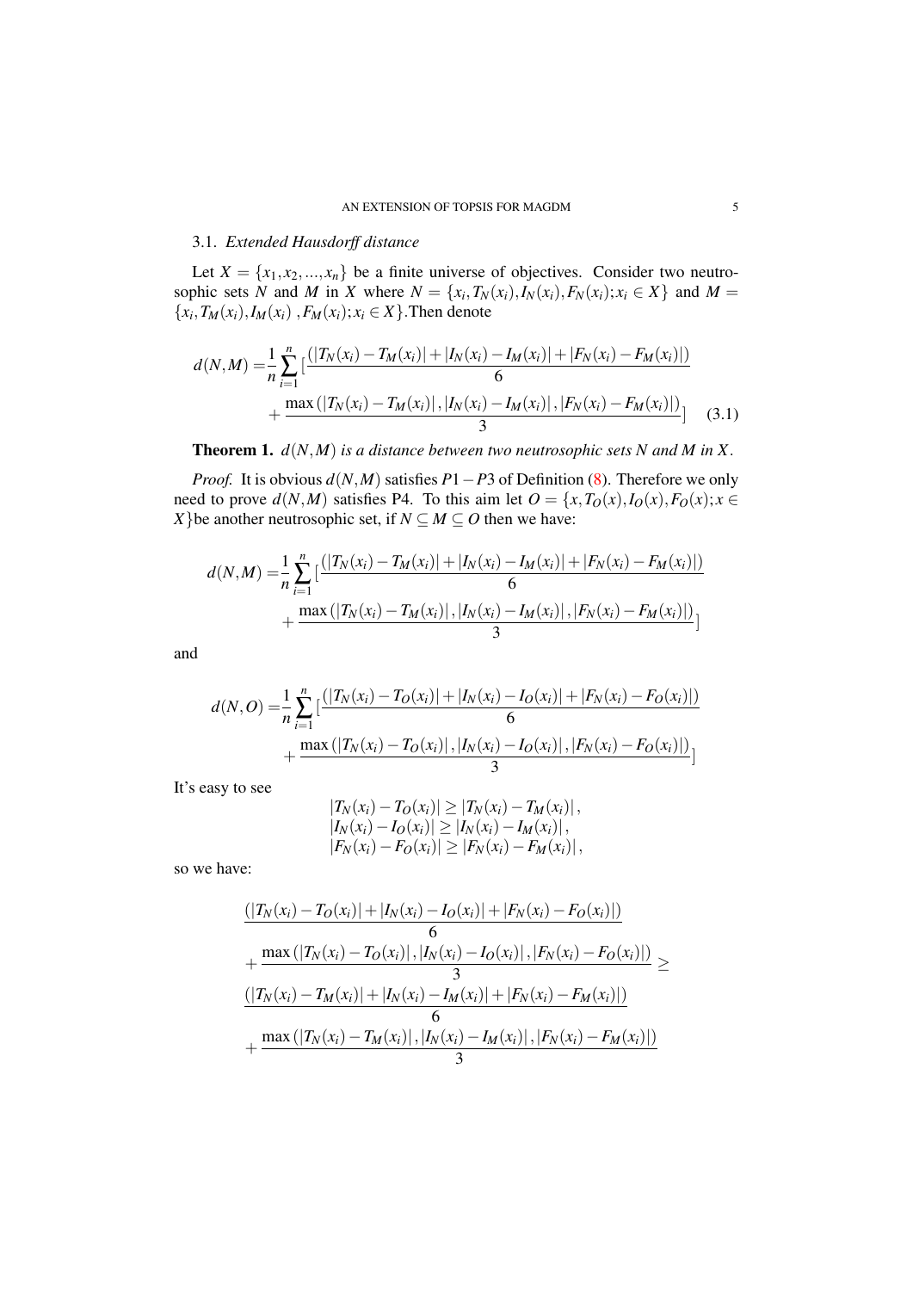#### 3.1. *Extended Hausdorff distance*

Let  $X = \{x_1, x_2, ..., x_n\}$  be a finite universe of objectives. Consider two neutrosophic sets N and M in X where  $N = \{x_i, T_N(x_i), I_N(x_i), F_N(x_i); x_i \in X\}$  and  $M =$  $\{x_i, T_M(x_i), I_M(x_i), F_M(x_i); x_i \in X\}$ . Then denote

$$
d(N,M) = \frac{1}{n} \sum_{i=1}^{n} \left[ \frac{(|T_N(x_i) - T_M(x_i)| + |I_N(x_i) - I_M(x_i)| + |F_N(x_i) - F_M(x_i)|)}{6} + \frac{\max(|T_N(x_i) - T_M(x_i)|, |I_N(x_i) - I_M(x_i)|, |F_N(x_i) - F_M(x_i)|)}{3} \right]
$$
(3.1)

**Theorem 1.**  $d(N,M)$  *is a distance between two neutrosophic sets N and M in X*.

*Proof.* It is obvious *d*(*N,M*) satisfies *P*1*−P*3 of Definition (8). Therefore we only need to prove  $d(N,M)$  satisfies P4. To this aim let  $O = \{x, T_O(x), I_O(x), F_O(x); x \in$ *X*}be another neutrosophic set, if  $N \subseteq M \subseteq O$  then we have:

$$
d(N,M) = \frac{1}{n} \sum_{i=1}^{n} \left[ \frac{(|T_N(x_i) - T_M(x_i)| + |I_N(x_i) - I_M(x_i)| + |F_N(x_i) - F_M(x_i)|)}{6} + \frac{\max(|T_N(x_i) - T_M(x_i)|, |I_N(x_i) - I_M(x_i)|, |F_N(x_i) - F_M(x_i)|)}{3} \right]
$$

and

$$
d(N, O) = \frac{1}{n} \sum_{i=1}^{n} \left[ \frac{(|T_N(x_i) - T_O(x_i)| + |I_N(x_i) - I_O(x_i)| + |F_N(x_i) - F_O(x_i)|)}{6} + \frac{\max(|T_N(x_i) - T_O(x_i)|, |I_N(x_i) - I_O(x_i)|, |F_N(x_i) - F_O(x_i)|)}{3} \right]
$$

It's easy to see

<span id="page-5-0"></span>
$$
|T_N(x_i) - T_O(x_i)| \ge |T_N(x_i) - T_M(x_i)|,
$$
  
\n
$$
|I_N(x_i) - I_O(x_i)| \ge |I_N(x_i) - I_M(x_i)|,
$$
  
\n
$$
|F_N(x_i) - F_O(x_i)| \ge |F_N(x_i) - F_M(x_i)|,
$$

so we have:

$$
\frac{(|T_N(x_i) - T_O(x_i)| + |I_N(x_i) - I_O(x_i)| + |F_N(x_i) - F_O(x_i)|)}{6} + \frac{\max(|T_N(x_i) - T_O(x_i)|, |I_N(x_i) - I_O(x_i)|, |F_N(x_i) - F_O(x_i)|)}{3} \ge \frac{(|T_N(x_i) - T_M(x_i)| + |I_N(x_i) - I_M(x_i)| + |F_N(x_i) - F_M(x_i)|)}{6} + \frac{\max(|T_N(x_i) - T_M(x_i)|, |I_N(x_i) - I_M(x_i)|, |F_N(x_i) - F_M(x_i)|)}{3}
$$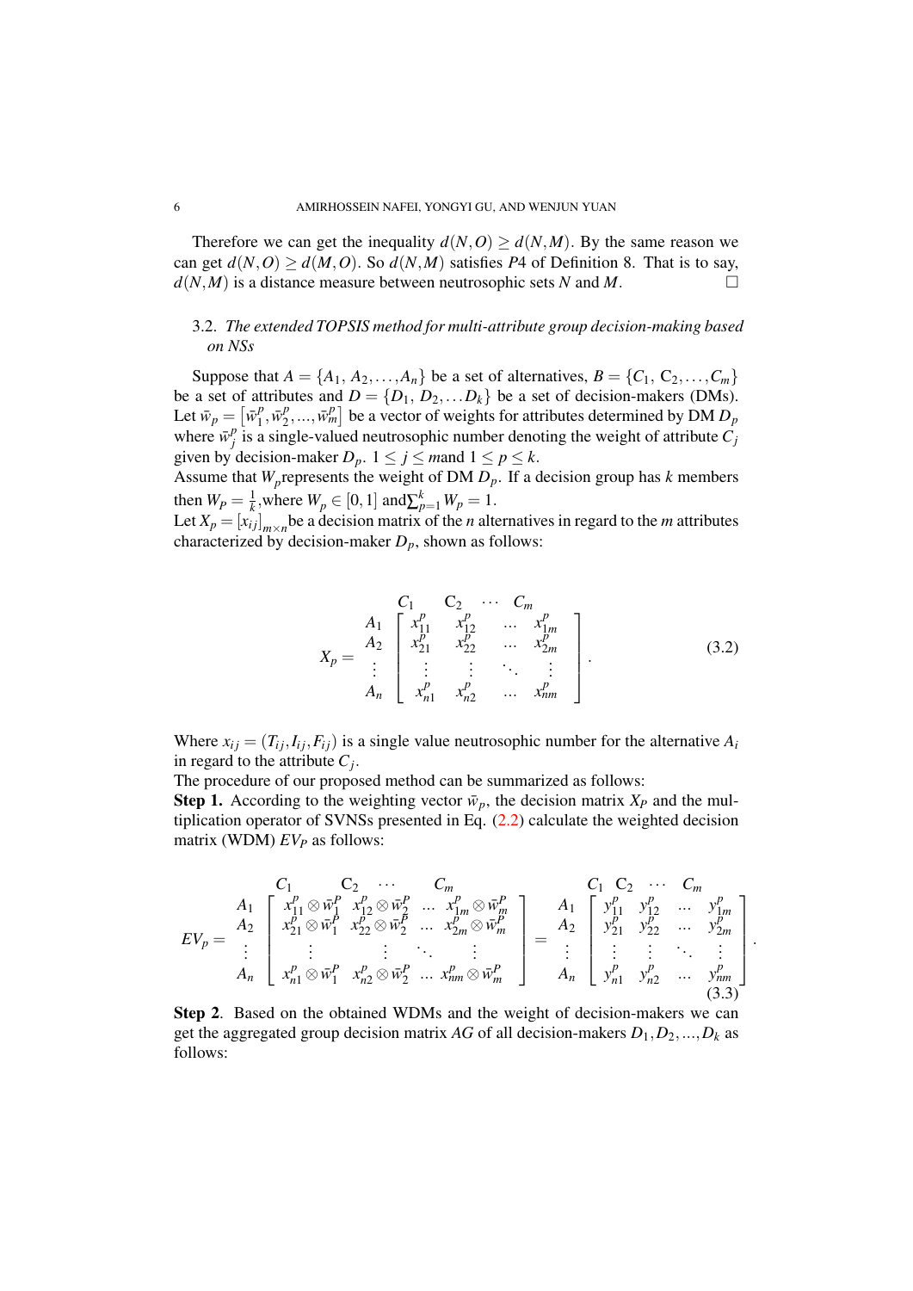Therefore we can get the inequality  $d(N, O) \ge d(N, M)$ . By the same reason we can get  $d(N, 0) \ge d(M, 0)$ . So  $d(N, M)$  satisfies P4 of Definition 8. That is to say,  $d(N, M)$  is a distance measure between neutrosophic sets *N* and *M*.

## 3.2. *The extended TOPSIS method for multi-attribute group decision-making based on NSs*

Suppose that  $A = \{A_1, A_2, \ldots, A_n\}$  be a set of alternatives,  $B = \{C_1, C_2, \ldots, C_m\}$ be a set of attributes and  $D = \{D_1, D_2, \ldots, D_k\}$  be a set of decision-makers (DMs). Let  $\bar{w}_p = \left[\bar{w}_1^p\right]$  $\overline{p}^p_1, \overline{w}^p_2$  $\left[ \sum_{i=1}^{p} \ldots, \overline{w}_m^p \right]$  be a vector of weights for attributes determined by DM  $D_p$ where  $\bar{w}_i^p$  $\frac{p}{j}$  is a single-valued neutrosophic number denoting the weight of attribute  $C_j$ given by decision-maker  $D_p$ .  $1 \le j \le m$  and  $1 \le p \le k$ .

Assume that  $W_p$  represents the weight of DM  $D_p$ . If a decision group has  $k$  members then  $W_p = \frac{1}{k}$ , where  $W_p \in [0, 1]$  and  $\sum_{p=1}^{k} W_p = 1$ .

Let  $X_p = [x_{ij}]_{m \times n}$  be a decision matrix of the *n* alternatives in regard to the *m* attributes characterized by decision-maker  $D_p$ , shown as follows:

$$
X_{p} = \begin{bmatrix} & C_{1} & C_{2} & \cdots & C_{m} \\ A_{1} & x_{11}^{p} & x_{12}^{p} & \cdots & x_{1m}^{p} \\ x_{21}^{p} & x_{22}^{p} & \cdots & x_{2m}^{p} \\ \vdots & \vdots & \vdots & \ddots & \vdots \\ x_{n1}^{p} & x_{n2}^{p} & \cdots & x_{nm}^{p} \end{bmatrix} .
$$
 (3.2)

*.*

Where  $x_{ij} = (T_{ij}, I_{ij}, F_{ij})$  is a single value neutrosophic number for the alternative  $A_i$ in regard to the attribute  $C_j$ .

The procedure of our proposed method can be summarized as follows:

**Step 1.** According to the weighting vector  $\bar{w}_p$ , the decision matrix  $X_p$  and the multiplication operator of SVNSs presented in Eq.  $(2.2)$  calculate the weighted decision matrix (WDM) *EV<sup>P</sup>* as follows:

$$
EV_{p} = \begin{pmatrix}\nC_{1} & C_{2} & \cdots & C_{m} & C_{1} & C_{2} & \cdots & C_{m} \\
A_{1} & x_{11}^{p} \otimes \bar{w}_{1}^{p} & x_{12}^{p} \otimes \bar{w}_{2}^{p} & \cdots & x_{1m}^{p} \otimes \bar{w}_{m}^{p} \\
x_{21}^{p} \otimes \bar{w}_{1}^{p} & x_{22}^{p} \otimes \bar{w}_{2}^{p} & \cdots & x_{2m}^{p} \otimes \bar{w}_{m}^{p} \\
\vdots & \vdots & \ddots & \vdots & \vdots \\
x_{n1}^{p} \otimes \bar{w}_{1}^{p} & x_{n2}^{p} \otimes \bar{w}_{2}^{p} & \cdots & x_{nm}^{p} \otimes \bar{w}_{m}^{p}\n\end{pmatrix} = \begin{pmatrix}\nC_{1} & C_{2} & \cdots & C_{m} \\
C_{1} & C_{2} & \cdots & C_{m} \\
A_{1} & y_{11}^{p} & y_{12}^{p} & \cdots & y_{1m}^{p} \\
y_{21}^{p} & y_{22}^{p} & \cdots & y_{2m}^{p} \\
\vdots & \vdots & \vdots & \ddots & \vdots \\
y_{n1}^{p} & y_{n2}^{p} & \cdots & y_{nm}^{p}\n\end{pmatrix}
$$
\n(3.3)

Step 2. Based on the obtained WDMs and the weight of decision-makers we can get the aggregated group decision matrix AG of all decision-makers  $D_1, D_2, ..., D_k$  as follows: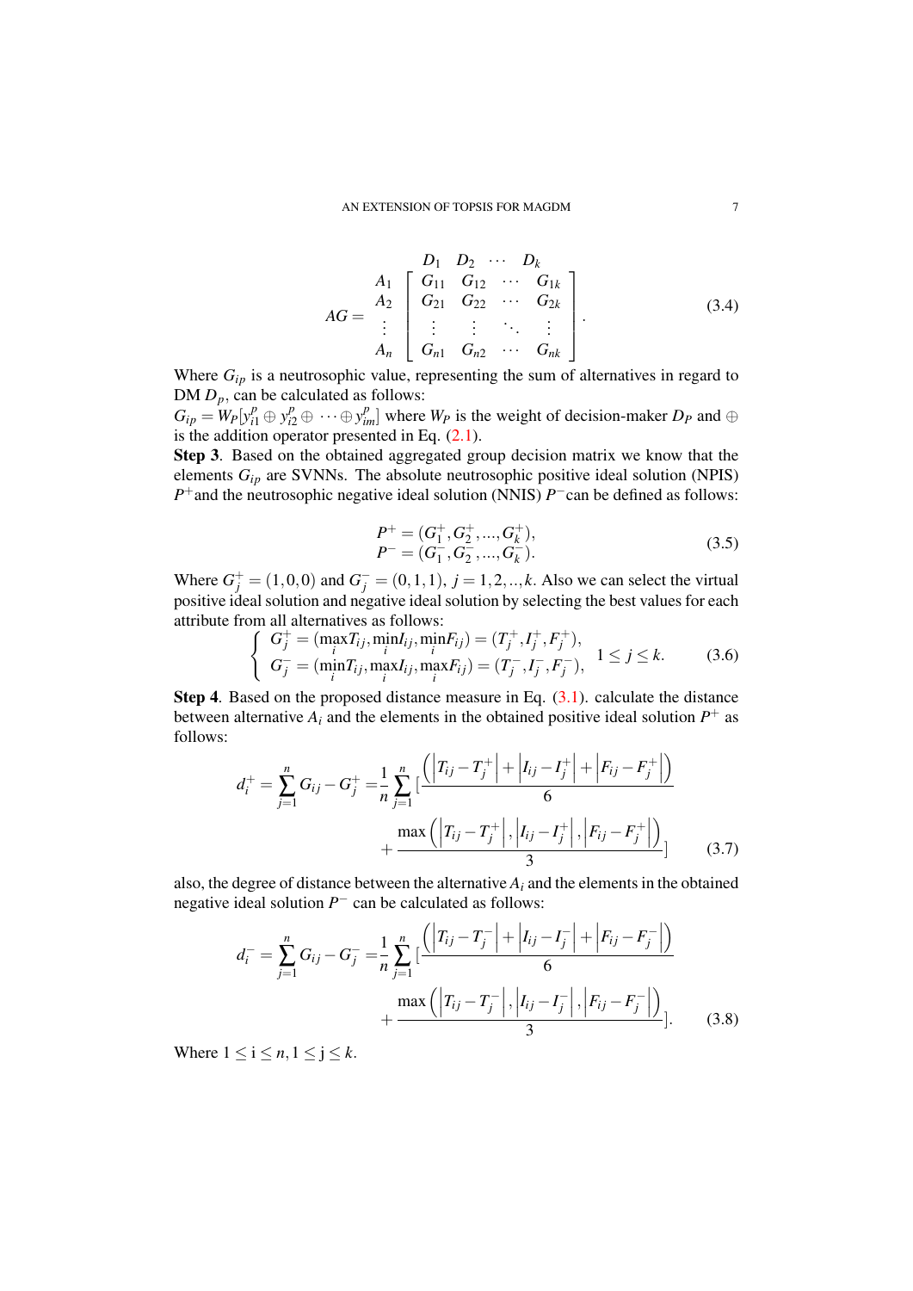$$
AG = \begin{bmatrix} & & D_1 & D_2 & \cdots & D_k \\ A_1 & G_{11} & G_{12} & \cdots & G_{1k} \\ A_2 & G_{21} & G_{22} & \cdots & G_{2k} \\ \vdots & \vdots & \vdots & \ddots & \vdots \\ A_n & G_{n1} & G_{n2} & \cdots & G_{nk} \end{bmatrix} .
$$
 (3.4)

Where  $G_{ip}$  is a neutrosophic value, representing the sum of alternatives in regard to DM  $D_p$ , can be calculated as follows:

 $G_{ip} = W_P[y_{i1}^p \oplus y_{i2}^p \oplus \cdots \oplus y_{im}^p]$  where  $W_P$  is the weight of decision-maker  $D_P$  and  $\oplus$ is the addition operator presented in Eq.  $(2.1)$ .

Step 3. Based on the obtained aggregated group decision matrix we know that the elements *Gip* are SVNNs. The absolute neutrosophic positive ideal solution (NPIS) *P*<sup>+</sup> and the neutrosophic negative ideal solution (NNIS) *P*<sup>−</sup>can be defined as follows:

$$
P^{+} = (G_{1}^{+}, G_{2}^{+}, ..., G_{k}^{+}),
$$
  
\n
$$
P^{-} = (G_{1}^{-}, G_{2}^{-}, ..., G_{k}^{-}).
$$
\n(3.5)

Where  $G_j^+ = (1, 0, 0)$  and  $G_j^- = (0, 1, 1), j = 1, 2, ..., k$ . Also we can select the virtual positive ideal solution and negative ideal solution by selecting the best values for each attribute from all alternatives as follows:

$$
\begin{cases}\nG_j^+ = (\max_i T_{ij}, \min_i I_{ij}, \min_i F_{ij}) = (T_j^+, I_j^+, F_j^+), \\
G_j^- = (\min_i T_{ij}, \max_i I_{ij}, \max_i F_{ij}) = (T_j^-, I_j^-, F_j^-),\n\end{cases}\n\quad 1 \le j \le k.
$$
\n(3.6)

**Step 4.** Based on the proposed distance measure in Eq.  $(3.1)$ . calculate the distance between alternative  $A_i$  and the elements in the obtained positive ideal solution  $P^+$  as follows:

$$
d_i^+ = \sum_{j=1}^n G_{ij} - G_j^+ = \frac{1}{n} \sum_{j=1}^n \left[ \frac{\left| T_{ij} - T_j^+ \right| + \left| I_{ij} - I_j^+ \right| + \left| F_{ij} - F_j^+ \right| \right)}{6} + \frac{\max \left( \left| T_{ij} - T_j^+ \right|, \left| I_{ij} - I_j^+ \right|, \left| F_{ij} - F_j^+ \right| \right)}{3} \right]
$$
(3.7)

also, the degree of distance between the alternative  $A_i$  and the elements in the obtained negative ideal solution *P <sup>−</sup>* can be calculated as follows:

 $\sim$ 

$$
d_i^- = \sum_{j=1}^n G_{ij} - G_j^- = \frac{1}{n} \sum_{j=1}^n \left[ \frac{\left| T_{ij} - T_j^- \right| + \left| I_{ij} - I_j^- \right| + \left| F_{ij} - F_j^- \right| \right)}{6} + \frac{\max \left( \left| T_{ij} - T_j^- \right|, \left| I_{ij} - I_j^- \right|, \left| F_{ij} - F_j^- \right| \right)}{3} \right].
$$
 (3.8)

Where  $1 \leq i \leq n, 1 \leq j \leq k$ .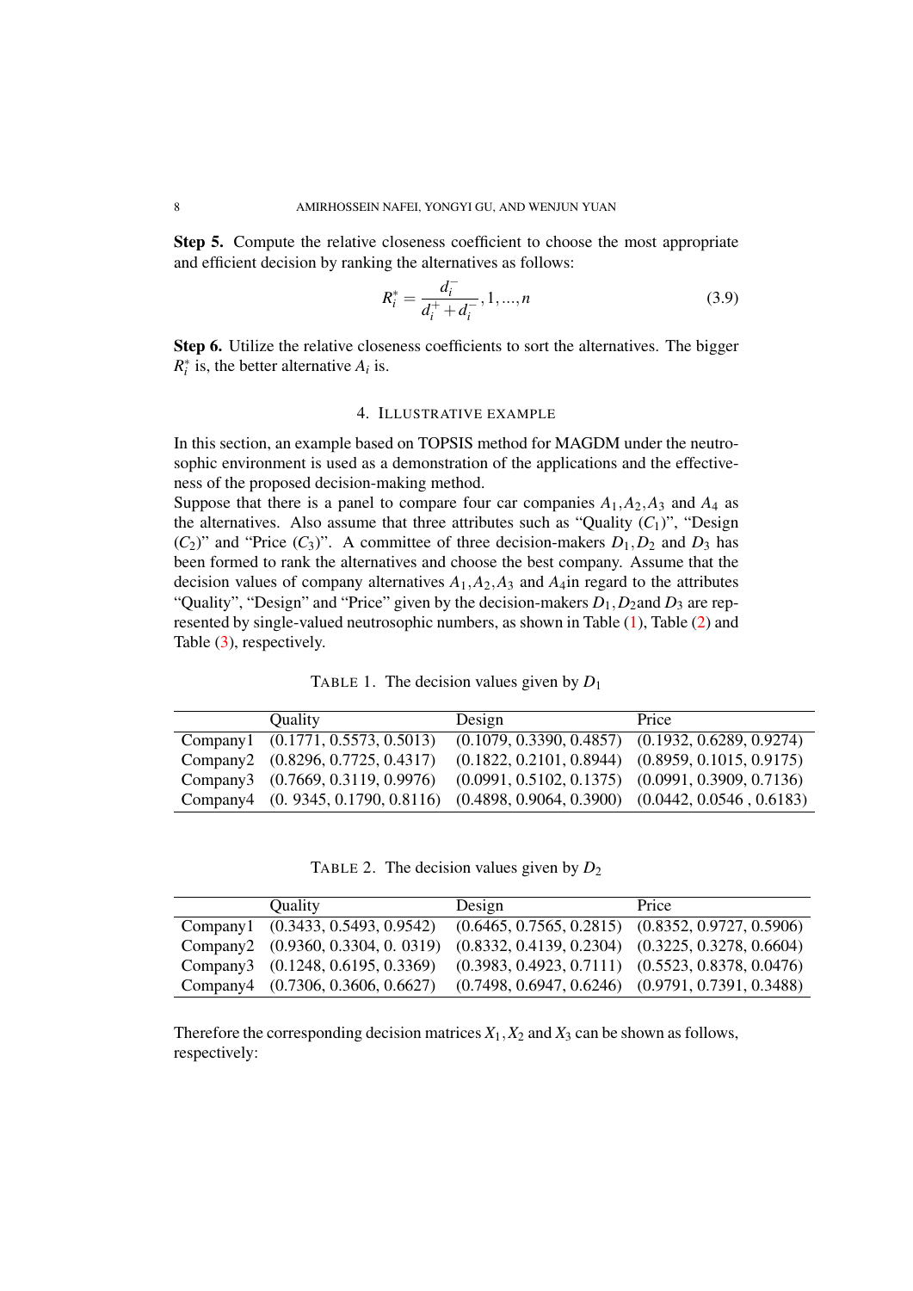Step 5. Compute the relative closeness coefficient to choose the most appropriate and efficient decision by ranking the alternatives as follows:

$$
R_i^* = \frac{d_i^-}{d_i^+ + d_i^-}, 1, ..., n
$$
\n(3.9)

Step 6. Utilize the relative closeness coefficients to sort the alternatives. The bigger  $R_i^*$  is, the better alternative  $A_i$  is.

### <span id="page-8-0"></span>4. ILLUSTRATIVE EXAMPLE

In this section, an example based on TOPSIS method for MAGDM under the neutrosophic environment is used as a demonstration of the applications and the effectiveness of the proposed decision-making method.

Suppose that there is a panel to compare four car companies  $A_1$ ,  $A_2$ ,  $A_3$  and  $A_4$  as the alternatives. Also assume that three attributes such as "Quality  $(C_1)$ ", "Design  $(C_2)$ " and "Price  $(C_3)$ ". A committee of three decision-makers  $D_1, D_2$  and  $D_3$  has been formed to rank the alternatives and choose the best company. Assume that the decision values of company alternatives  $A_1$ ,  $A_2$ ,  $A_3$  and  $A_4$  in regard to the attributes "Quality", "Design" and "Price" given by the decision-makers  $D_1$ ,  $D_2$  and  $D_3$  are represented by single-valued neutrosophic numbers, as shown in Table  $(1)$ , Table  $(2)$  and Table  $(3)$ , respectively.

TABLE 1. The decision values given by *D*<sup>1</sup>

| <b>Quality</b>                                                                       | Design                                                | Price |
|--------------------------------------------------------------------------------------|-------------------------------------------------------|-------|
| Company1 (0.1771, 0.5573, 0.5013)                                                    | $(0.1079, 0.3390, 0.4857)$ $(0.1932, 0.6289, 0.9274)$ |       |
| Company2 (0.8296, 0.7725, 0.4317)                                                    | $(0.1822, 0.2101, 0.8944)$ $(0.8959, 0.1015, 0.9175)$ |       |
| Company3 (0.7669, 0.3119, 0.9976)                                                    | $(0.0991, 0.5102, 0.1375)$ $(0.0991, 0.3909, 0.7136)$ |       |
| Company4 (0. 9345, 0.1790, 0.8116) (0.4898, 0.9064, 0.3900) (0.0442, 0.0546, 0.6183) |                                                       |       |

TABLE 2. The decision values given by *D*<sup>2</sup>

| <b>Quality</b>                     | Design | Price                                                 |
|------------------------------------|--------|-------------------------------------------------------|
| Company1 (0.3433, 0.5493, 0.9542)  |        | $(0.6465, 0.7565, 0.2815)$ $(0.8352, 0.9727, 0.5906)$ |
| Company2 (0.9360, 0.3304, 0. 0319) |        | $(0.8332, 0.4139, 0.2304)$ $(0.3225, 0.3278, 0.6604)$ |
| Company3 (0.1248, 0.6195, 0.3369)  |        | $(0.3983, 0.4923, 0.7111)$ $(0.5523, 0.8378, 0.0476)$ |
| Company4 (0.7306, 0.3606, 0.6627)  |        | $(0.7498, 0.6947, 0.6246)$ $(0.9791, 0.7391, 0.3488)$ |

Therefore the corresponding decision matrices  $X_1, X_2$  and  $X_3$  can be shown as follows, respectively: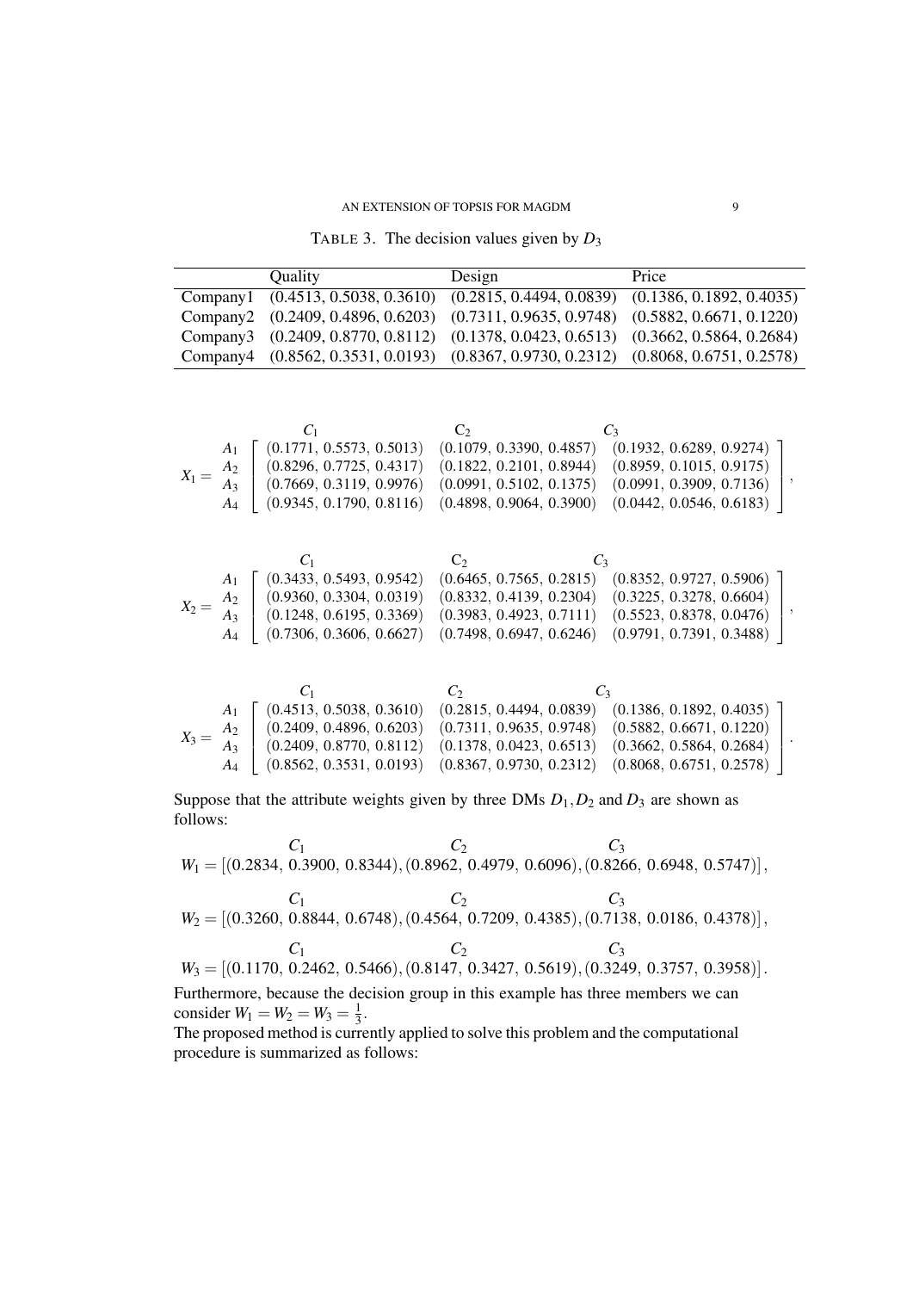TABLE 3. The decision values given by  $D_3$ 

| Quality |                                                                                     | Design | Price |  |
|---------|-------------------------------------------------------------------------------------|--------|-------|--|
|         | Company1 (0.4513, 0.5038, 0.3610) (0.2815, 0.4494, 0.0839) (0.1386, 0.1892, 0.4035) |        |       |  |
|         | Company2 (0.2409, 0.4896, 0.6203) (0.7311, 0.9635, 0.9748) (0.5882, 0.6671, 0.1220) |        |       |  |
|         | Company3 (0.2409, 0.8770, 0.8112) (0.1378, 0.0423, 0.6513) (0.3662, 0.5864, 0.2684) |        |       |  |
|         | Company4 (0.8562, 0.3531, 0.0193) (0.8367, 0.9730, 0.2312) (0.8068, 0.6751, 0.2578) |        |       |  |

|         |                | $C_1$                    | ÙΣ             |                          | $C_3$                    |  |
|---------|----------------|--------------------------|----------------|--------------------------|--------------------------|--|
|         | A <sub>1</sub> | (0.1771, 0.5573, 0.5013) |                | (0.1079, 0.3390, 0.4857) | (0.1932, 0.6289, 0.9274) |  |
|         | A <sub>2</sub> | (0.8296, 0.7725, 0.4317) |                | (0.1822, 0.2101, 0.8944) | (0.8959, 0.1015, 0.9175) |  |
| $X_1 =$ | A3             | (0.7669, 0.3119, 0.9976) |                | (0.0991, 0.5102, 0.1375) | (0.0991, 0.3909, 0.7136) |  |
|         | $A_4$          | (0.9345, 0.1790, 0.8116) |                | (0.4898, 0.9064, 0.3900) | (0.0442, 0.0546, 0.6183) |  |
|         |                |                          |                |                          |                          |  |
|         |                |                          |                |                          |                          |  |
|         |                |                          | C <sub>2</sub> |                          |                          |  |
|         | A <sub>1</sub> | (0.3433, 0.5493, 0.9542) |                | (0.6465, 0.7565, 0.2815) | (0.8352, 0.9727, 0.5906) |  |
|         | A <sub>2</sub> | (0.9360, 0.3304, 0.0319) |                | (0.8332, 0.4139, 0.2304) | (0.3225, 0.3278, 0.6604) |  |
| $X_2 =$ | $A_3$          | (0.1248, 0.6195, 0.3369) |                | (0.3983, 0.4923, 0.7111) | (0.5523, 0.8378, 0.0476) |  |
|         | $A_4$          | (0.7306, 0.3606, 0.6627) |                | (0.7498, 0.6947, 0.6246) | (0.9791, 0.7391, 0.3488) |  |

*C*<sup>1</sup> *C*<sup>2</sup> *C*<sup>3</sup> *X*<sup>3</sup> = *A*1 *A*2 *A*3 *A*4 (0*.*4513*,* 0*.*5038*,* 0*.*3610) (0*.*2815*,* 0*.*4494*,* 0*.*0839) (0*.*1386*,* 0*.*1892*,* 0*.*4035) (0*.*2409*,* 0*.*4896*,* 0*.*6203) (0*.*7311*,* 0*.*9635*,* 0*.*9748) (0*.*5882*,* 0*.*6671*,* 0*.*1220) (0*.*2409*,* 0*.*8770*,* 0*.*8112) (0*.*1378*,* 0*.*0423*,* 0*.*6513) (0*.*3662*,* 0*.*5864*,* 0*.*2684) (0*.*8562*,* 0*.*3531*,* 0*.*0193) (0*.*8367*,* 0*.*9730*,* 0*.*2312) (0*.*8068*,* 0*.*6751*,* 0*.*2578) *.*

Suppose that the attribute weights given by three DMs  $D_1$ ,  $D_2$  and  $D_3$  are shown as follows:

 $C_1$   $C_2$   $C_3$ *W*<sup>1</sup> = [(0*.*2834*,* 0*.*3900*,* 0*.*8344)*,*(0*.*8962*,* 0*.*4979*,* 0*.*6096)*,*(0*.*8266*,* 0*.*6948*,* 0*.*5747)]*,*  $C_1$   $C_2$   $C_3$ *W*<sup>2</sup> = [(0*.*3260*,* 0*.*8844*,* 0*.*6748)*,*(0*.*4564*,* 0*.*7209*,* 0*.*4385)*,*(0*.*7138*,* 0*.*0186*,* 0*.*4378)]*,*  $C_1$   $C_2$   $C_3$ *W*<sup>3</sup> = [(0*.*1170*,* 0*.*2462*,* 0*.*5466)*,*(0*.*8147*,* 0*.*3427*,* 0*.*5619)*,*(0*.*3249*,* 0*.*3757*,* 0*.*3958)]*.*

Furthermore, because the decision group in this example has three members we can consider  $W_1 = W_2 = W_3 = \frac{1}{3}$  $\frac{1}{3}$ .

The proposed method is currently applied to solve this problem and the computational procedure is summarized as follows: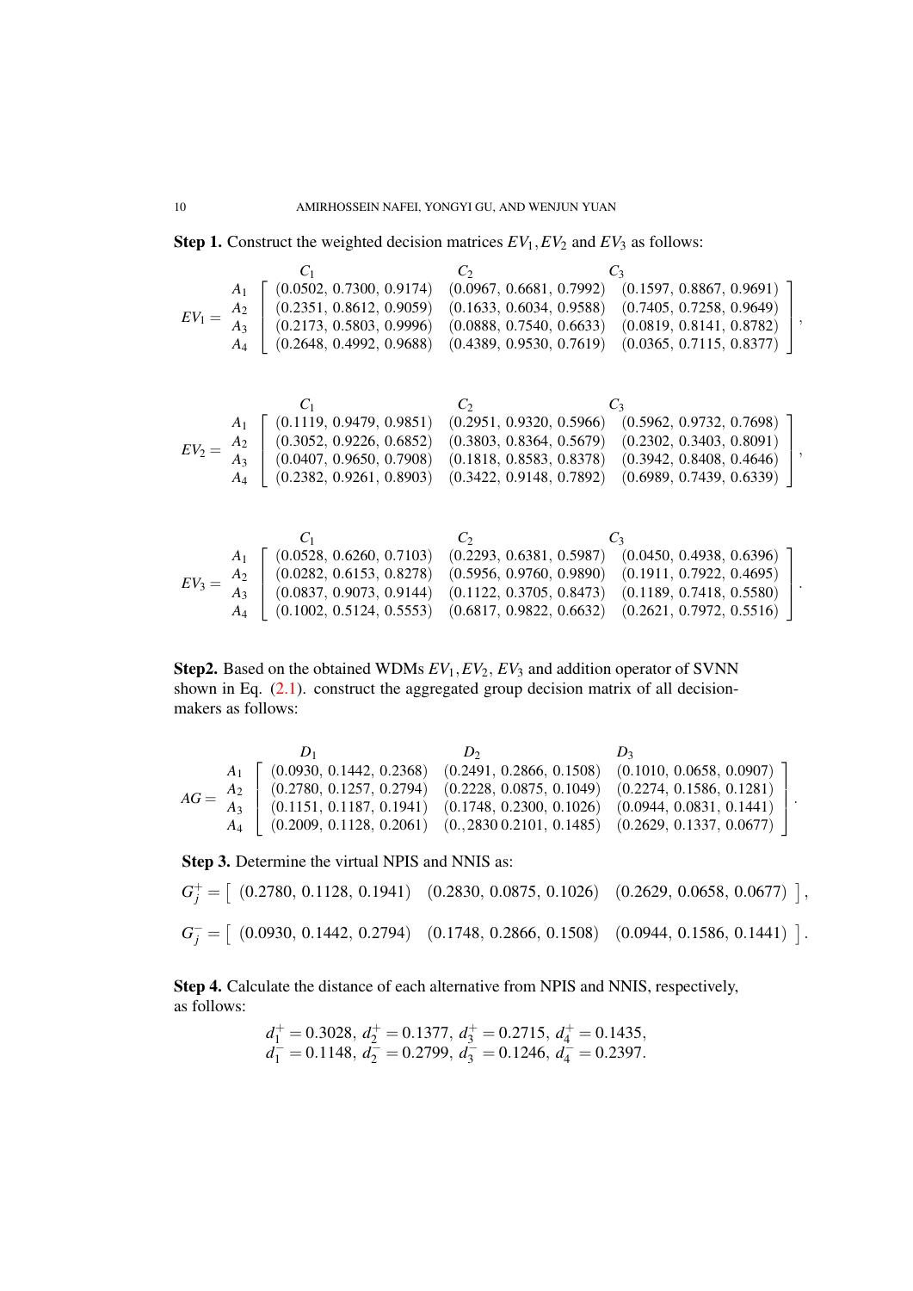**Step 1.** Construct the weighted decision matrices  $EV_1$ ,  $EV_2$  and  $EV_3$  as follows:

 $C_1$   $C_2$   $C_3$  $EV_1 = \frac{A_2}{A_2}$ *A*1 *A*3 *A*4  $\sqrt{ }$  $\mathbf{I}$  $\overline{1}$  $\overline{1}$ (0*.*0502*,* 0*.*7300*,* 0*.*9174) (0*.*0967*,* 0*.*6681*,* 0*.*7992) (0*.*1597*,* 0*.*8867*,* 0*.*9691) (0*.*2351*,* 0*.*8612*,* 0*.*9059) (0*.*1633*,* 0*.*6034*,* 0*.*9588) (0*.*7405*,* 0*.*7258*,* 0*.*9649) (0*.*2173*,* 0*.*5803*,* 0*.*9996) (0*.*0888*,* 0*.*7540*,* 0*.*6633) (0*.*0819*,* 0*.*8141*,* 0*.*8782) (0*.*2648*,* 0*.*4992*,* 0*.*9688) (0*.*4389*,* 0*.*9530*,* 0*.*7619) (0*.*0365*,* 0*.*7115*,* 0*.*8377) 1  $\mathbf{I}$  $\overline{1}$  $\overline{1}$ *,*  $C_1$   $C_2$   $C_3$  $EV_2 = \frac{A_2}{A_2}$ *A*1 *A*3 *A*4  $\sqrt{ }$  $\mathbf{I}$  $\overline{1}$  $\overline{1}$ (0*.*1119*,* 0*.*9479*,* 0*.*9851) (0*.*2951*,* 0*.*9320*,* 0*.*5966) (0*.*5962*,* 0*.*9732*,* 0*.*7698) (0*.*3052*,* 0*.*9226*,* 0*.*6852) (0*.*3803*,* 0*.*8364*,* 0*.*5679) (0*.*2302*,* 0*.*3403*,* 0*.*8091) (0*.*0407*,* 0*.*9650*,* 0*.*7908) (0*.*1818*,* 0*.*8583*,* 0*.*8378) (0*.*3942*,* 0*.*8408*,* 0*.*4646) (0*.*2382*,* 0*.*9261*,* 0*.*8903) (0*.*3422*,* 0*.*9148*,* 0*.*7892) (0*.*6989*,* 0*.*7439*,* 0*.*6339) 1  $\mathbf{I}$  $\overline{1}$  $\overline{1}$ *,*  $C_1$   $C_2$   $C_3$  $EV_3 =$ *A*1 *A*2 *A*3 *A*4  $\sqrt{ }$  $\mathbf{I}$  $\overline{1}$  $\overline{1}$ (0*.*0528*,* 0*.*6260*,* 0*.*7103) (0*.*2293*,* 0*.*6381*,* 0*.*5987) (0*.*0450*,* 0*.*4938*,* 0*.*6396) (0*.*0282*,* 0*.*6153*,* 0*.*8278) (0*.*5956*,* 0*.*9760*,* 0*.*9890) (0*.*1911*,* 0*.*7922*,* 0*.*4695) (0*.*0837*,* 0*.*9073*,* 0*.*9144) (0*.*1122*,* 0*.*3705*,* 0*.*8473) (0*.*1189*,* 0*.*7418*,* 0*.*5580) (0*.*1002*,* 0*.*5124*,* 0*.*5553) (0*.*6817*,* 0*.*9822*,* 0*.*6632) (0*.*2621*,* 0*.*7972*,* 0*.*5516) 1  $\mathbf{I}$  $\mathbf{I}$  $\overline{1}$ *.*

Step2. Based on the obtained WDMs *EV*1*,EV*2*, EV*<sup>3</sup> and addition operator of SVNN shown in Eq. (2.1). construct the aggregated group decision matrix of all decisionmakers as follows:

 $D_1$   $D_2$   $D_3$  $AG = \frac{A_2}{4}$ *A*1 *A*3 *A*4  $\sqrt{ }$  $\perp$  $\overline{1}$  $\overline{1}$ (0*.*[09](#page-4-2)30*,* 0*.*1442*,* 0*.*2368) (0*.*2491*,* 0*.*2866*,* 0*.*1508) (0*.*1010*,* 0*.*0658*,* 0*.*0907) (0*.*2780*,* 0*.*1257*,* 0*.*2794) (0*.*2228*,* 0*.*0875*,* 0*.*1049) (0*.*2274*,* 0*.*1586*,* 0*.*1281) (0*.*1151*,* 0*.*1187*,* 0*.*1941) (0*.*1748*,* 0*.*2300*,* 0*.*1026) (0*.*0944*,* 0*.*0831*,* 0*.*1441) (0*.*2009*,* 0*.*1128*,* 0*.*2061) (0*.,*2830 0*.*2101*,* 0*.*1485) (0*.*2629*,* 0*.*1337*,* 0*.*0677) 1  $\mathbf{I}$  $\mathbf{I}$  $\mathbf{I}$ *.*

Step 3. Determine the virtual NPIS and NNIS as:

$$
G_j^+ = \left[ (0.2780, 0.1128, 0.1941) \quad (0.2830, 0.0875, 0.1026) \quad (0.2629, 0.0658, 0.0677) \right],
$$
  
\n
$$
G_j^- = \left[ (0.0930, 0.1442, 0.2794) \quad (0.1748, 0.2866, 0.1508) \quad (0.0944, 0.1586, 0.1441) \right].
$$

Step 4. Calculate the distance of each alternative from NPIS and NNIS, respectively, as follows:

$$
d_1^+ = 0.3028
$$
,  $d_2^+ = 0.1377$ ,  $d_3^+ = 0.2715$ ,  $d_4^+ = 0.1435$ ,  
\n $d_1^- = 0.1148$ ,  $d_2^- = 0.2799$ ,  $d_3^- = 0.1246$ ,  $d_4^- = 0.2397$ .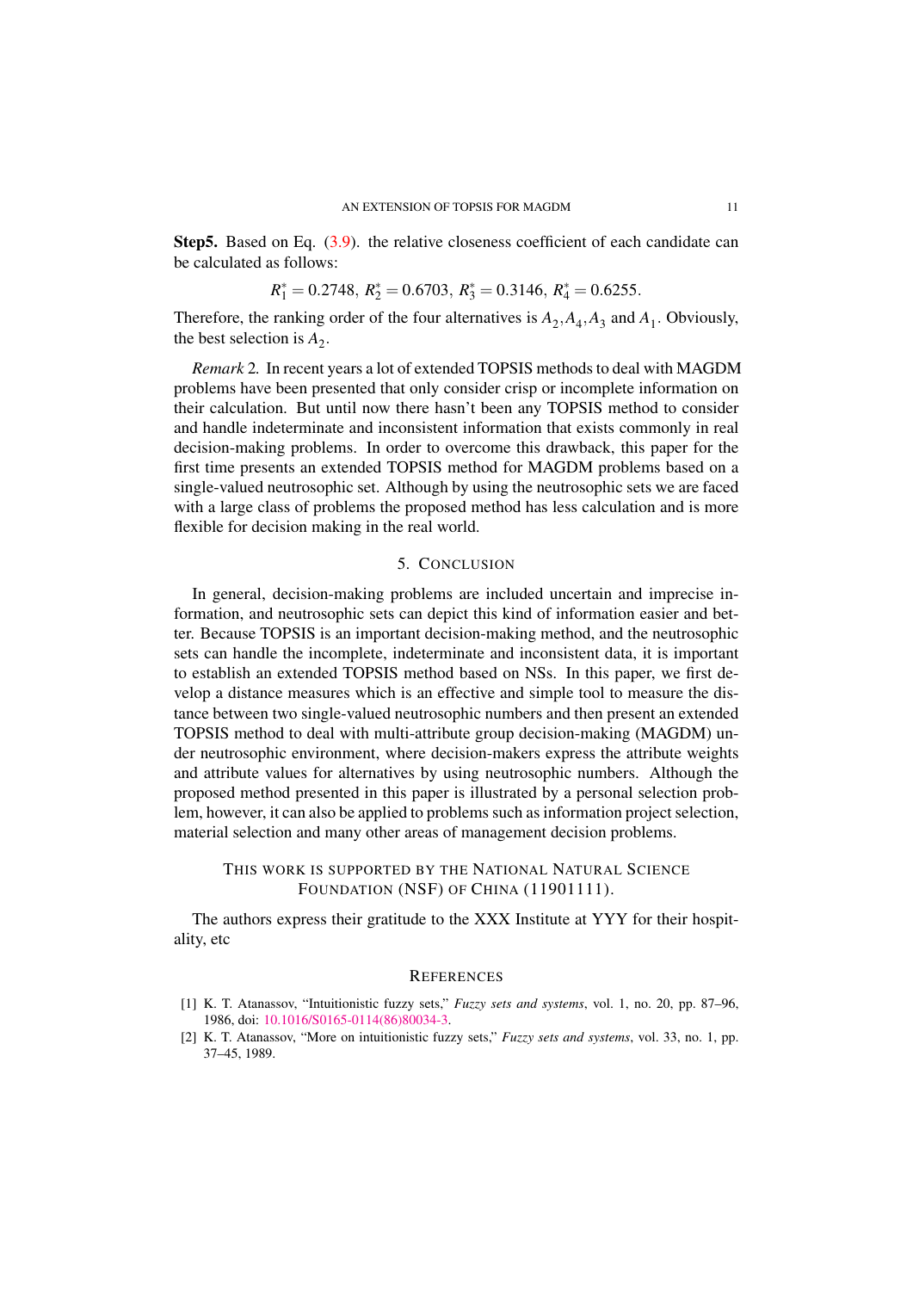Step5. Based on Eq. (3.9). the relative closeness coefficient of each candidate can be calculated as follows:

$$
R_1^* = 0.2748
$$
,  $R_2^* = 0.6703$ ,  $R_3^* = 0.3146$ ,  $R_4^* = 0.6255$ .

Therefore, the ranking [ord](#page-8-0)er of the four alternatives is  $A_2$ ,  $A_4$ ,  $A_3$  and  $A_1$ . Obviously, the best selection is  $A_2$ .

*Remark* 2*.* In recent years a lot of extended TOPSIS methods to deal with MAGDM problems have been presented that only consider crisp or incomplete information on their calculation. But until now there hasn't been any TOPSIS method to consider and handle indeterminate and inconsistent information that exists commonly in real decision-making problems. In order to overcome this drawback, this paper for the first time presents an extended TOPSIS method for MAGDM problems based on a single-valued neutrosophic set. Although by using the neutrosophic sets we are faced with a large class of problems the proposed method has less calculation and is more flexible for decision making in the real world.

#### 5. CONCLUSION

In general, decision-making problems are included uncertain and imprecise information, and neutrosophic sets can depict this kind of information easier and better. Because TOPSIS is an important decision-making method, and the neutrosophic sets can handle the incomplete, indeterminate and inconsistent data, it is important to establish an extended TOPSIS method based on NSs. In this paper, we first develop a distance measures which is an effective and simple tool to measure the distance between two single-valued neutrosophic numbers and then present an extended TOPSIS method to deal with multi-attribute group decision-making (MAGDM) under neutrosophic environment, where decision-makers express the attribute weights and attribute values for alternatives by using neutrosophic numbers. Although the proposed method presented in this paper is illustrated by a personal selection problem, however, it can also be applied to problems such as information project selection, material selection and many other areas of management decision problems.

## THIS WORK IS SUPPORTED BY THE NATIONAL NATURAL SCIENCE FOUNDATION (NSF) OF CHINA (11901111).

The authors express their gratitude to the XXX Institute at YYY for their hospitality, etc

#### **REFERENCES**

- [1] K. T. Atanassov, "Intuitionistic fuzzy sets," *Fuzzy sets and systems*, vol. 1, no. 20, pp. 87–96, 1986, doi: 10.1016/S0165-0114(86)80034-3.
- <span id="page-11-1"></span><span id="page-11-0"></span>[2] K. T. Atanassov, "More on intuitionistic fuzzy sets," *Fuzzy sets and systems*, vol. 33, no. 1, pp. 37–45, 1989.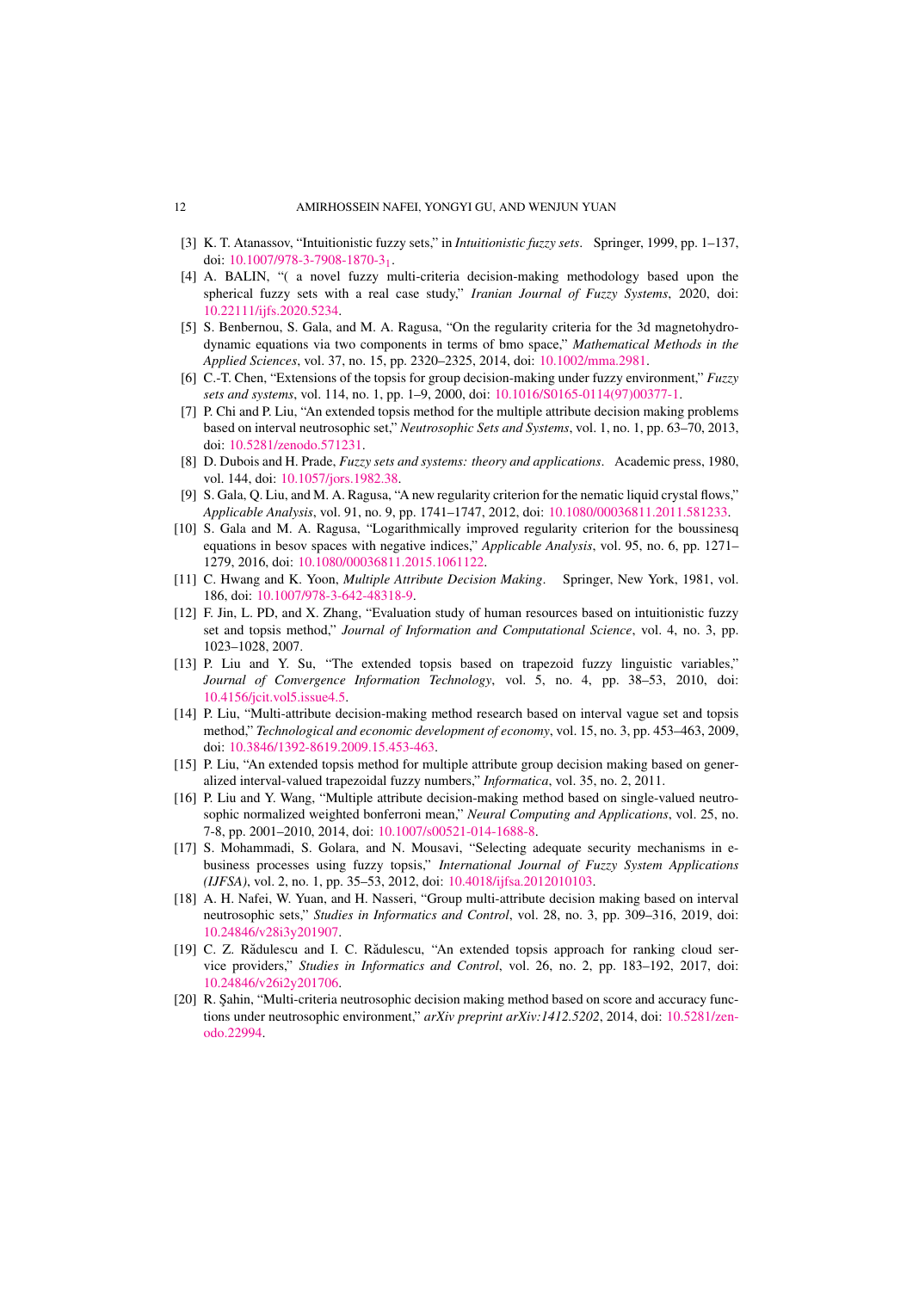- [3] K. T. Atanassov, "Intuitionistic fuzzy sets," in *Intuitionistic fuzzy sets*. Springer, 1999, pp. 1–137, doi: 10.1007/978-3-7908-1870-31.
- [4] A. BALIN, "( a novel fuzzy multi-criteria decision-making methodology based upon the spherical fuzzy sets with a real case study," *Iranian Journal of Fuzzy Systems*, 2020, doi: 10.22111/ijfs.2020.5234.
- <span id="page-12-3"></span><span id="page-12-0"></span>[5] S. Benbernou, S. Gala, and M. A. Ragusa, "On the regularity criteria for the 3d magnetohydrodyn[amic equations via two comp](http://dx.doi.org/10.1007/978-3-7908-1870-3_1)onents in terms of bmo space," *Mathematical Methods in the Applied Sciences*, vol. 37, no. 15, pp. 2320–2325, 2014, doi: 10.1002/mma.2981.
- [6] C.-T. Chen, "Extensions of the topsis for group decision-making under fuzzy environment," *Fuzzy [sets and systems](http://dx.doi.org/10.22111/ijfs.2020.5234)*, vol. 114, no. 1, pp. 1–9, 2000, doi: 10.1016/S0165-0114(97)00377-1.
- <span id="page-12-15"></span>[7] P. Chi and P. Liu, "An extended topsis method for the multiple attribute decision making problems based on interval neutrosophic set," *Neutrosophic Sets and Systems*[, vol. 1, no. 1, p](http://dx.doi.org/10.1002/mma.2981)p. 63–70, 2013, doi: 10.5281/zenodo.571231.
- <span id="page-12-6"></span>[8] D. Dubois and H. Prade, *Fuzzy sets and systems: the[ory and applications](http://dx.doi.org/10.1016/S0165-0114(97)00377-1)*. Academic press, 1980, vol. 144, doi: 10.1057/jors.1982.38.
- <span id="page-12-14"></span>[9] S. Gala, Q. Liu, and M. A. Ragusa, "A new regularity criterion for the nematic liquid crystal flows," *Applicable Analysis*, vol. 91, no. 9, pp. 1741–1747, 2012, doi: 10.1080/00036811.2011.581233.
- <span id="page-12-1"></span>[10] S. [Gala and M. A. Ragusa,](http://dx.doi.org/10.5281/zenodo.571231) "Logarithmically improved regularity criterion for the boussinesq equations in besov spaces with negative indices," *Applicable Analysis*, vol. 95, no. 6, pp. 1271– 1279, 2016, doi: [10.1080/00036811](http://dx.doi.org/10.1057/jors.1982.38).2015.1061122.
- <span id="page-12-12"></span>[11] C. Hwang and K. Yoon, *Multiple Attribute Decision Making*. [Springer, New York, 1981, vo](http://dx.doi.org/10.1080/00036811.2011.581233)l. 186, doi: 10.1007/978-3-642-48318-9.
- [12] F. Jin, L. PD, and X. Zhang, "Evaluation study of human resources based on intuitionistic fuzzy set and topsis method," *[Journal of Information an](http://dx.doi.org/10.1080/00036811.2015.1061122)d Computational Science*, vol. 4, no. 3, pp. 1023–1028, 2007.
- <span id="page-12-4"></span><span id="page-12-2"></span>[13] P. Liu and Y. Su, "The extended topsis based on trapezoid fuzzy linguistic variables," *Journal [of Convergence Informatio](http://dx.doi.org/10.1007/978-3-642-48318-9)n Technology*, vol. 5, no. 4, pp. 38–53, 2010, doi: 10.4156/jcit.vol5.issue4.5.
- <span id="page-12-9"></span>[14] P. Liu, "Multi-attribute decision-making method research based on interval vague set and topsis method," *Technological and economic development of economy*, vol. 15, no. 3, pp. 453–463, 2009, doi: 10.3846/1392-8619.2009.15.453-463.
- [15] P. Liu, "An extended topsis method for multiple attribute group decision making based on gener[alized interval-valued trap](http://dx.doi.org/10.4156/jcit.vol5.issue4.5)ezoidal fuzzy numbers," *Informatica*, vol. 35, no. 2, 2011.
- <span id="page-12-5"></span>[16] P. Liu and Y. Wang, "Multiple attribute decision-making method based on single-valued neutrosoph[ic normalized weighted bonferroni m](http://dx.doi.org/10.3846/1392-8619.2009.15.453-463)ean," *Neural Computing and Applications*, vol. 25, no. 7-8, pp. 2001–2010, 2014, doi: 10.1007/s00521-014-1688-8.
- <span id="page-12-11"></span><span id="page-12-7"></span>[17] S. Mohammadi, S. Golara, and N. Mousavi, "Selecting adequate security mechanisms in ebusiness processes using fuzzy topsis," *International Journal of Fuzzy System Applications (IJFSA)*, vol. 2, no. 1, pp. 35–53, 2012, doi: 10.4018/ijfsa.2012010103.
- <span id="page-12-8"></span>[18] A. H. Nafei, W. Yuan, and H. [Nasseri, "Group multi-attribu](http://dx.doi.org/10.1007/s00521-014-1688-8)te decision making based on interval neutrosophic sets," *Studies in Informatics and Control*, vol. 28, no. 3, pp. 309–316, 2019, doi: 10.24846/v28i3y201907.
- [19] C. Z. Rădulescu and I. C. Rădulescu, "An extended topsis approach for ranking cloud service providers," *Studies in Informatics and Control*[, vol. 26, no. 2,](http://dx.doi.org/10.4018/ijfsa.2012010103) pp. 183–192, 2017, doi: 10.24846/v26i2y201706.
- <span id="page-12-13"></span><span id="page-12-10"></span>[20] R. Sahin, "Multi-criteria neutrosophic decision making method based on score and accuracy func[tions under neutrosophic](http://dx.doi.org/10.24846/v28i3y201907) environment," *arXiv preprint arXiv:1412.5202*, 2014, doi: 10.5281/zenodo.22994.